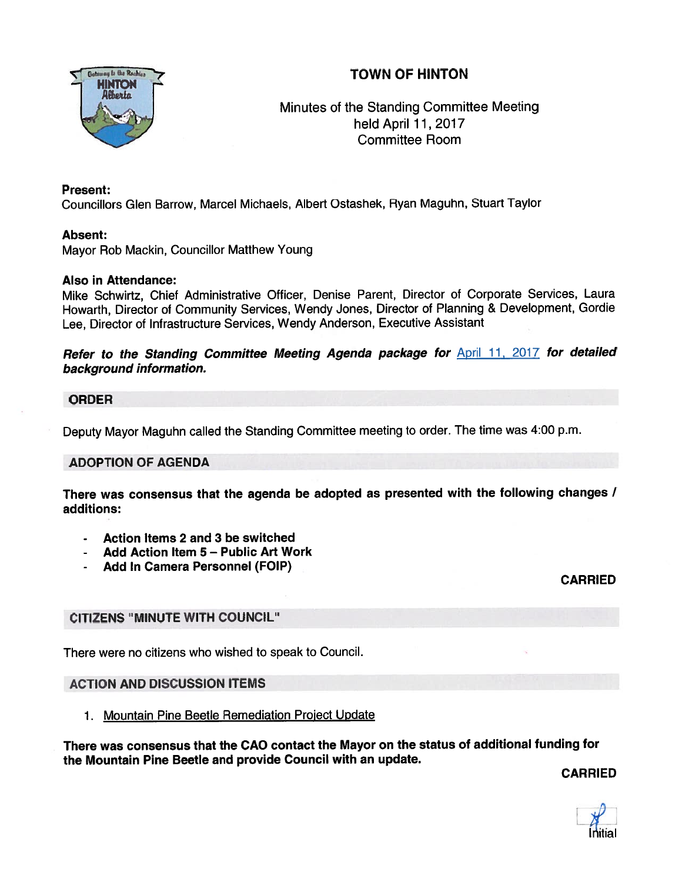# TOWN OF HINTON



Minutes of the Standing Committee Meeting held April 11, 2017 Committee Room

## Present:

Councillors Glen Barrow, Marcel Michaels, Albert Ostashek, Ryan Maguhn, Stuart Taylor

## Absent:

Mayor Rob Mackin, Councillor Matthew Young

### Also in Attendance:

Mike Schwirtz, Chief Administrative Officer, Denise Parent, Director of Corporate Services, Laura Howarth, Director of Community Services, Wendy Jones, Director of Planning & Development, Gordie Lee, Director of Infrastructure Services, Wendy Anderson, Executive Assistant

Refer to the Standing Committee Meeting Agenda package for **April 11, 2017** for detailed background information.

### ORDER

Deputy Mayor Maguhn called the Standing Committee meeting to order. The time was 4:00 p.m.

## ADOPTION OF AGENDA

There was consensus that the agenda be adopted as presented with the following changes / additions:

- Action Items 2 and 3 be switched
- Add Action Item 5 Public Art Work
- Add in Camera Personnel (FOIP)

CARRIED

## CITIZENS "MINUTE WITH COUNCIL"

There were no citizens who wished to speak to Council.

## ACTION AND DISCUSSION ITEMS

1. Mountain Pine Beetle Remediation Project Update

There was consensus that the CAO contact the Mayor on the status of additional funding for the Mountain Pine Beetle and provide Council with an update.

CARRIED

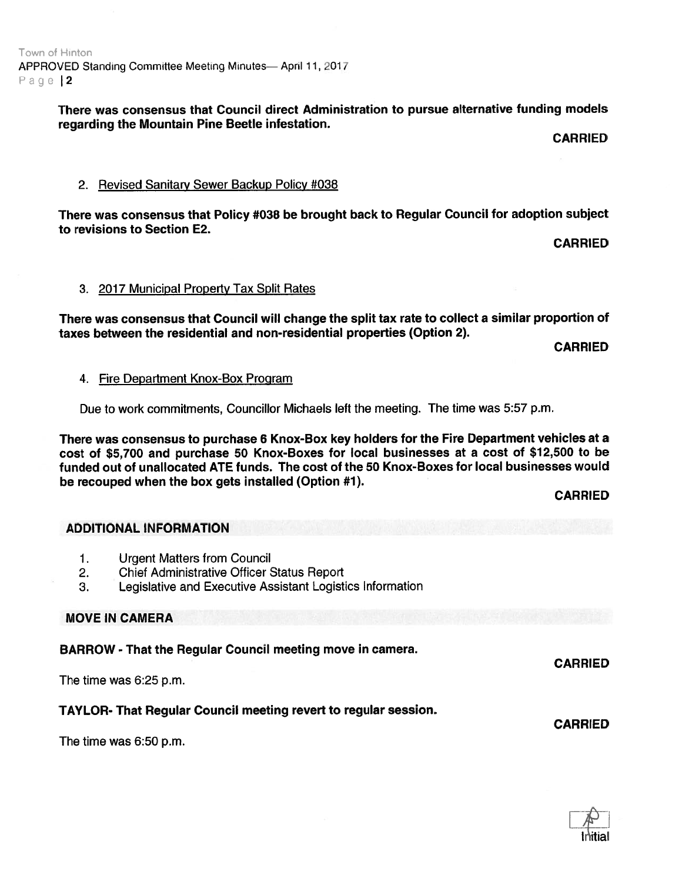# There was consensus that Council direct Administration to pursue alternative funding models regarding the Mountain Pine Beetle infestation.

CARRIED

### 2. Revised Sanitary Sewer Backup Policy #038

There was consensus that Policy #038 be brought back to Regular Council for adoption subject to revisions to Section E2.

CARRIED

### 3. 2017 Municipal Property Tax Split Rates

There was consensus that Council will change the split tax rate to collect <sup>a</sup> similar proportion of taxes between the residential and non-residential properties (Option 2).

CARRIED

#### 4. Fire Department Knox-Box Program

Due to work commitments, Councillor Michaels left the meeting. The time was 5:57 p.m.

There was consensus to purchase <sup>6</sup> Knox-Box key holders for the Fire Department vehicles at <sup>a</sup> cost of \$5,700 and purchase 50 Knox-Boxes for local businesses at <sup>a</sup> cost of \$12,500 to be funded out of unallocated ATE funds. The cost of the 50 Knox-Boxes for local businesses would be recouped when the box gets installed (Option #1).

#### CARRIED

CARRIED

CARRIED

## ADDITIONAL INFORMATION

- 1. Urgent Matters from Council
- 2. Chief Administrative Officer Status Report
- 3. Legislative and Executive Assistant Logistics Information

## MOVE IN CAMERA

BARROW - That the Regular Council meeting move in camera.

The time was 6:25 p.m.

## TAYLOR- That Regular Council meeting revert to regular session.

The time was 6:50 p.m.